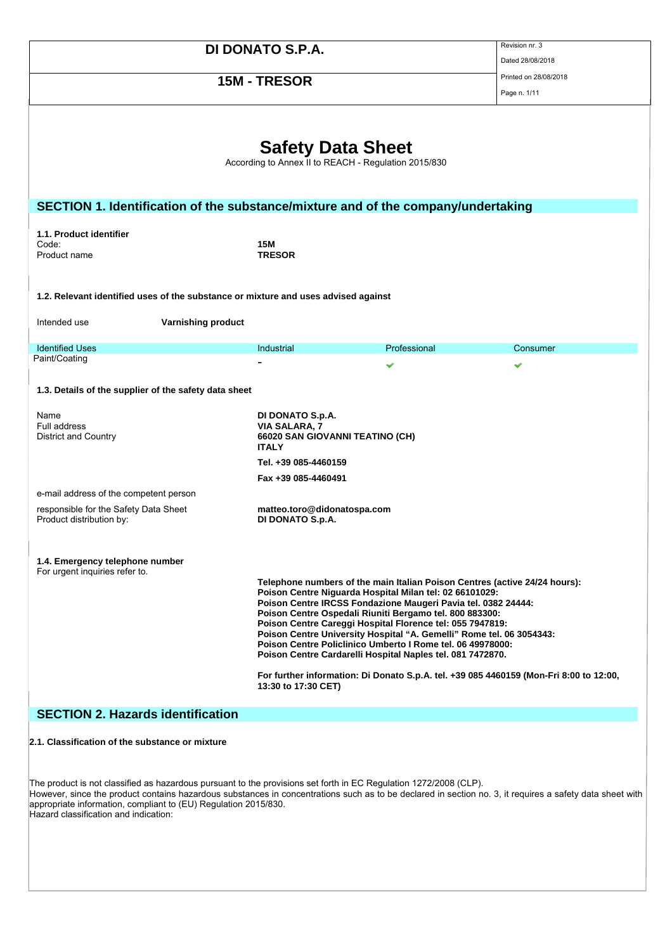|                                                                                    |                                                                                             |                                                                                                                                                                                                                                                                                                                                                                                                                                                                                                                                    | Revision nr. 3                                                                         |  |  |
|------------------------------------------------------------------------------------|---------------------------------------------------------------------------------------------|------------------------------------------------------------------------------------------------------------------------------------------------------------------------------------------------------------------------------------------------------------------------------------------------------------------------------------------------------------------------------------------------------------------------------------------------------------------------------------------------------------------------------------|----------------------------------------------------------------------------------------|--|--|
| <b>DI DONATO S.P.A.</b>                                                            |                                                                                             |                                                                                                                                                                                                                                                                                                                                                                                                                                                                                                                                    | Dated 28/08/2018                                                                       |  |  |
| 15M - TRESOR                                                                       |                                                                                             | Printed on 28/08/2018                                                                                                                                                                                                                                                                                                                                                                                                                                                                                                              |                                                                                        |  |  |
|                                                                                    |                                                                                             |                                                                                                                                                                                                                                                                                                                                                                                                                                                                                                                                    | Page n. 1/11                                                                           |  |  |
| <b>Safety Data Sheet</b><br>According to Annex II to REACH - Regulation 2015/830   |                                                                                             |                                                                                                                                                                                                                                                                                                                                                                                                                                                                                                                                    |                                                                                        |  |  |
| SECTION 1. Identification of the substance/mixture and of the company/undertaking  |                                                                                             |                                                                                                                                                                                                                                                                                                                                                                                                                                                                                                                                    |                                                                                        |  |  |
| 1.1. Product identifier                                                            |                                                                                             |                                                                                                                                                                                                                                                                                                                                                                                                                                                                                                                                    |                                                                                        |  |  |
| Code:<br>Product name                                                              | 15M<br><b>TRESOR</b>                                                                        |                                                                                                                                                                                                                                                                                                                                                                                                                                                                                                                                    |                                                                                        |  |  |
|                                                                                    |                                                                                             |                                                                                                                                                                                                                                                                                                                                                                                                                                                                                                                                    |                                                                                        |  |  |
| 1.2. Relevant identified uses of the substance or mixture and uses advised against |                                                                                             |                                                                                                                                                                                                                                                                                                                                                                                                                                                                                                                                    |                                                                                        |  |  |
|                                                                                    |                                                                                             |                                                                                                                                                                                                                                                                                                                                                                                                                                                                                                                                    |                                                                                        |  |  |
| <b>Varnishing product</b><br>Intended use                                          |                                                                                             |                                                                                                                                                                                                                                                                                                                                                                                                                                                                                                                                    |                                                                                        |  |  |
| <b>Identified Uses</b>                                                             | Industrial                                                                                  | Professional                                                                                                                                                                                                                                                                                                                                                                                                                                                                                                                       | Consumer                                                                               |  |  |
| Paint/Coating                                                                      |                                                                                             | ັ                                                                                                                                                                                                                                                                                                                                                                                                                                                                                                                                  | ັ                                                                                      |  |  |
| 1.3. Details of the supplier of the safety data sheet                              |                                                                                             |                                                                                                                                                                                                                                                                                                                                                                                                                                                                                                                                    |                                                                                        |  |  |
| Name<br>Full address<br><b>District and Country</b>                                | DI DONATO S.p.A.<br><b>VIA SALARA, 7</b><br>66020 SAN GIOVANNI TEATINO (CH)<br><b>ITALY</b> |                                                                                                                                                                                                                                                                                                                                                                                                                                                                                                                                    |                                                                                        |  |  |
|                                                                                    | Tel. +39 085-4460159                                                                        |                                                                                                                                                                                                                                                                                                                                                                                                                                                                                                                                    |                                                                                        |  |  |
|                                                                                    | Fax +39 085-4460491                                                                         |                                                                                                                                                                                                                                                                                                                                                                                                                                                                                                                                    |                                                                                        |  |  |
| e-mail address of the competent person                                             |                                                                                             |                                                                                                                                                                                                                                                                                                                                                                                                                                                                                                                                    |                                                                                        |  |  |
| responsible for the Safety Data Sheet<br>Product distribution by:                  | matteo.toro@didonatospa.com<br>DI DONATO S.p.A.                                             |                                                                                                                                                                                                                                                                                                                                                                                                                                                                                                                                    |                                                                                        |  |  |
| 1.4. Emergency telephone number<br>For urgent inquiries refer to.                  |                                                                                             |                                                                                                                                                                                                                                                                                                                                                                                                                                                                                                                                    |                                                                                        |  |  |
|                                                                                    | 13:30 to 17:30 CET)                                                                         | Telephone numbers of the main Italian Poison Centres (active 24/24 hours):<br>Poison Centre Niguarda Hospital Milan tel: 02 66101029:<br>Poison Centre IRCSS Fondazione Maugeri Pavia tel. 0382 24444:<br>Poison Centre Ospedali Riuniti Bergamo tel. 800 883300:<br>Poison Centre Careggi Hospital Florence tel: 055 7947819:<br>Poison Centre University Hospital "A. Gemelli" Rome tel. 06 3054343:<br>Poison Centre Policlinico Umberto I Rome tel. 06 49978000:<br>Poison Centre Cardarelli Hospital Naples tel. 081 7472870. | For further information: Di Donato S.p.A. tel. +39 085 4460159 (Mon-Fri 8:00 to 12:00, |  |  |
| <b>SECTION 2. Hazards identification</b>                                           |                                                                                             |                                                                                                                                                                                                                                                                                                                                                                                                                                                                                                                                    |                                                                                        |  |  |
| 2.1. Classification of the substance or mixture                                    |                                                                                             |                                                                                                                                                                                                                                                                                                                                                                                                                                                                                                                                    |                                                                                        |  |  |

The product is not classified as hazardous pursuant to the provisions set forth in EC Regulation 1272/2008 (CLP). However, since the product contains hazardous substances in concentrations such as to be declared in section no. 3, it requires a safety data sheet with appropriate information, compliant to (EU) Regulation 2015/830. Hazard classification and indication: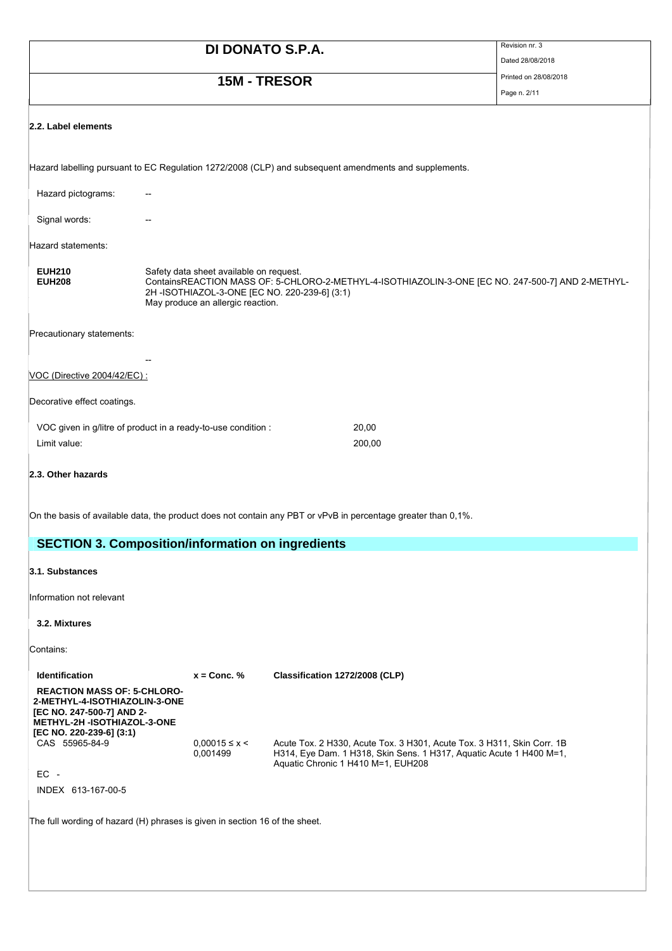# **DI DONATO S.P.A.** Revision nr. 3

**15M - TRESOR** Printed on 28/08/2018

Page n. 2/11

Dated 28/08/2018

## **2.2. Label elements**

| Hazard labelling pursuant to EC Regulation 1272/2008 (CLP) and subsequent amendments and supplements.                                                                                                                             |        |  |
|-----------------------------------------------------------------------------------------------------------------------------------------------------------------------------------------------------------------------------------|--------|--|
|                                                                                                                                                                                                                                   |        |  |
|                                                                                                                                                                                                                                   |        |  |
|                                                                                                                                                                                                                                   |        |  |
| Safety data sheet available on request.<br>ContainsREACTION MASS OF: 5-CHLORO-2-METHYL-4-ISOTHIAZOLIN-3-ONE [EC NO. 247-500-7] AND 2-METHYL-<br>2H-ISOTHIAZOL-3-ONE [EC NO. 220-239-6] (3:1)<br>May produce an allergic reaction. |        |  |
|                                                                                                                                                                                                                                   |        |  |
|                                                                                                                                                                                                                                   |        |  |
|                                                                                                                                                                                                                                   |        |  |
|                                                                                                                                                                                                                                   |        |  |
| VOC given in g/litre of product in a ready-to-use condition :                                                                                                                                                                     | 20,00  |  |
|                                                                                                                                                                                                                                   | 200,00 |  |
|                                                                                                                                                                                                                                   |        |  |
|                                                                                                                                                                                                                                   |        |  |

On the basis of available data, the product does not contain any PBT or vPvB in percentage greater than 0,1%.

## **SECTION 3. Composition/information on ingredients**

### **3.1. Substances**

Information not relevant

**3.2. Mixtures**

Contains:

| <b>Identification</b>                                                                                                                                       | $x =$ Conc. %                     | Classification 1272/2008 (CLP)                                                                                                                                                      |
|-------------------------------------------------------------------------------------------------------------------------------------------------------------|-----------------------------------|-------------------------------------------------------------------------------------------------------------------------------------------------------------------------------------|
| <b>REACTION MASS OF: 5-CHLORO-</b><br>2-METHYL-4-ISOTHIAZOLIN-3-ONE<br>[EC NO. 247-500-7] AND 2-<br>METHYL-2H -ISOTHIAZOL-3-ONE<br>[EC NO. 220-239-6] (3:1) |                                   |                                                                                                                                                                                     |
| CAS 55965-84-9                                                                                                                                              | $0.00015 \leq x \leq$<br>0.001499 | Acute Tox. 2 H330, Acute Tox. 3 H301, Acute Tox. 3 H311, Skin Corr. 1B<br>H314, Eye Dam. 1 H318, Skin Sens. 1 H317, Aquatic Acute 1 H400 M=1.<br>Aquatic Chronic 1 H410 M=1, EUH208 |
| $EC -$                                                                                                                                                      |                                   |                                                                                                                                                                                     |
| INDEX 613-167-00-5                                                                                                                                          |                                   |                                                                                                                                                                                     |

The full wording of hazard (H) phrases is given in section 16 of the sheet.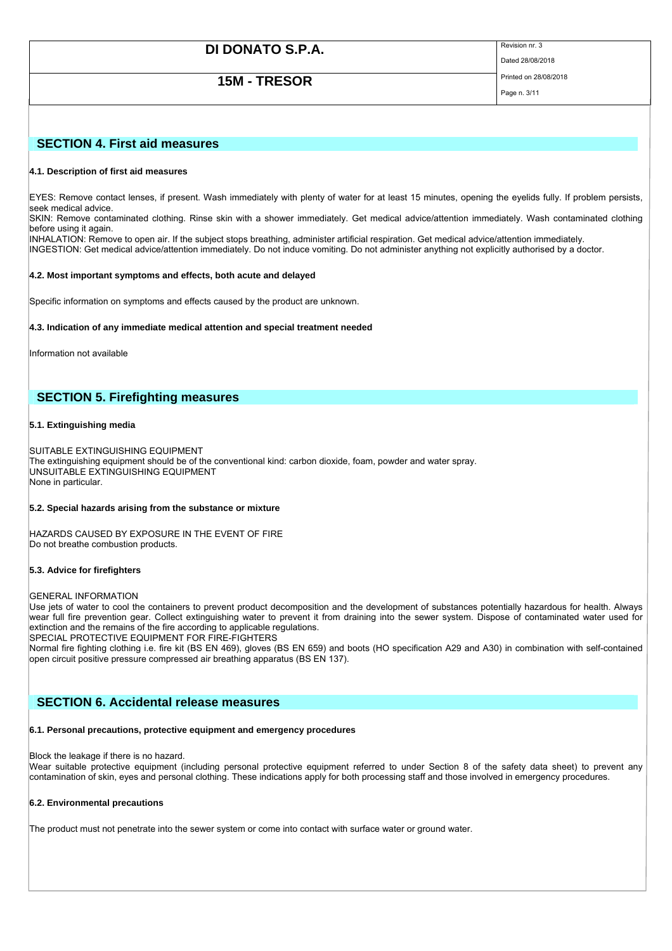**15M - TRESOR** Printed on 28/08/2018

Dated 28/08/2018

## Page n. 3/11

## **SECTION 4. First aid measures**

### **4.1. Description of first aid measures**

EYES: Remove contact lenses, if present. Wash immediately with plenty of water for at least 15 minutes, opening the eyelids fully. If problem persists, seek medical advice.

SKIN: Remove contaminated clothing. Rinse skin with a shower immediately. Get medical advice/attention immediately. Wash contaminated clothing before using it again.

INHALATION: Remove to open air. If the subject stops breathing, administer artificial respiration. Get medical advice/attention immediately. INGESTION: Get medical advice/attention immediately. Do not induce vomiting. Do not administer anything not explicitly authorised by a doctor.

### **4.2. Most important symptoms and effects, both acute and delayed**

Specific information on symptoms and effects caused by the product are unknown.

### **4.3. Indication of any immediate medical attention and special treatment needed**

Information not available

## **SECTION 5. Firefighting measures**

### **5.1. Extinguishing media**

SUITABLE EXTINGUISHING EQUIPMENT The extinguishing equipment should be of the conventional kind: carbon dioxide, foam, powder and water spray. UNSUITABLE EXTINGUISHING EQUIPMENT None in particular.

### **5.2. Special hazards arising from the substance or mixture**

HAZARDS CAUSED BY EXPOSURE IN THE EVENT OF FIRE Do not breathe combustion products.

### **5.3. Advice for firefighters**

GENERAL INFORMATION

Use jets of water to cool the containers to prevent product decomposition and the development of substances potentially hazardous for health. Always wear full fire prevention gear. Collect extinguishing water to prevent it from draining into the sewer system. Dispose of contaminated water used for extinction and the remains of the fire according to applicable regulations.

SPECIAL PROTECTIVE EQUIPMENT FOR FIRE-FIGHTERS

Normal fire fighting clothing i.e. fire kit (BS EN 469), gloves (BS EN 659) and boots (HO specification A29 and A30) in combination with self-contained open circuit positive pressure compressed air breathing apparatus (BS EN 137).

### **SECTION 6. Accidental release measures**

### **6.1. Personal precautions, protective equipment and emergency procedures**

Block the leakage if there is no hazard.

Wear suitable protective equipment (including personal protective equipment referred to under Section 8 of the safety data sheet) to prevent any contamination of skin, eyes and personal clothing. These indications apply for both processing staff and those involved in emergency procedures.

### **6.2. Environmental precautions**

The product must not penetrate into the sewer system or come into contact with surface water or ground water.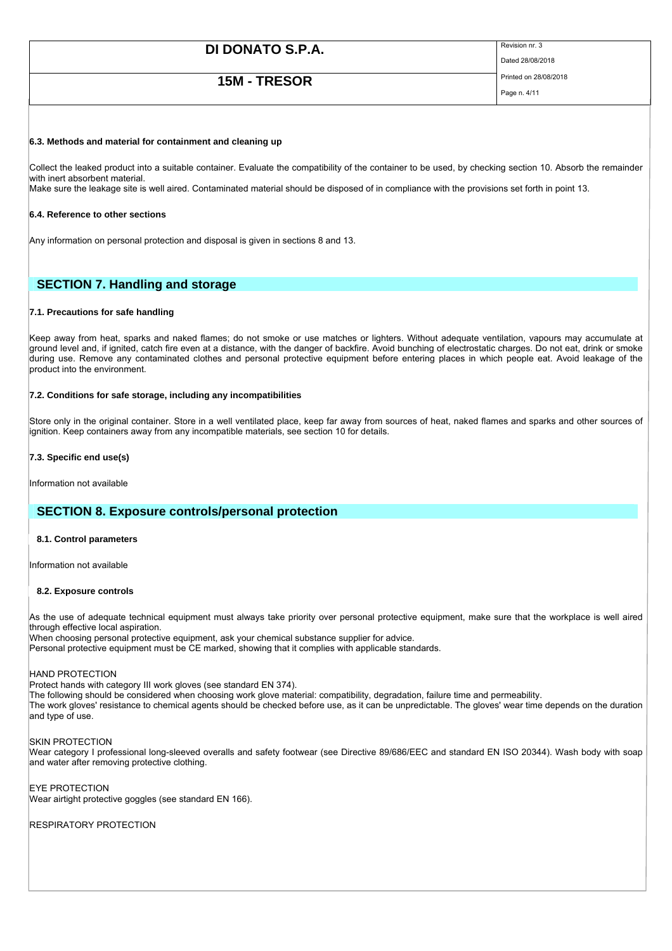## **15M - TRESOR** Printed on 28/08/2018

Dated 28/08/2018

## Page n. 4/11

### **6.3. Methods and material for containment and cleaning up**

Collect the leaked product into a suitable container. Evaluate the compatibility of the container to be used, by checking section 10. Absorb the remainder with inert absorbent material.

Make sure the leakage site is well aired. Contaminated material should be disposed of in compliance with the provisions set forth in point 13.

### **6.4. Reference to other sections**

Any information on personal protection and disposal is given in sections 8 and 13.

## **SECTION 7. Handling and storage**

### **7.1. Precautions for safe handling**

Keep away from heat, sparks and naked flames; do not smoke or use matches or lighters. Without adequate ventilation, vapours may accumulate at ground level and, if ignited, catch fire even at a distance, with the danger of backfire. Avoid bunching of electrostatic charges. Do not eat, drink or smoke during use. Remove any contaminated clothes and personal protective equipment before entering places in which people eat. Avoid leakage of the product into the environment.

### **7.2. Conditions for safe storage, including any incompatibilities**

Store only in the original container. Store in a well ventilated place, keep far away from sources of heat, naked flames and sparks and other sources of ignition. Keep containers away from any incompatible materials, see section 10 for details.

### **7.3. Specific end use(s)**

Information not available

### **SECTION 8. Exposure controls/personal protection**

### **8.1. Control parameters**

Information not available

### **8.2. Exposure controls**

As the use of adequate technical equipment must always take priority over personal protective equipment, make sure that the workplace is well aired through effective local aspiration.

When choosing personal protective equipment, ask your chemical substance supplier for advice.

Personal protective equipment must be CE marked, showing that it complies with applicable standards.

### HAND PROTECTION

Protect hands with category III work gloves (see standard EN 374).

The following should be considered when choosing work glove material: compatibility, degradation, failure time and permeability.

The work gloves' resistance to chemical agents should be checked before use, as it can be unpredictable. The gloves' wear time depends on the duration and type of use.

### SKIN PROTECTION

Wear category I professional long-sleeved overalls and safety footwear (see Directive 89/686/EEC and standard EN ISO 20344). Wash body with soap and water after removing protective clothing.

EYE PROTECTION Wear airtight protective goggles (see standard EN 166).

RESPIRATORY PROTECTION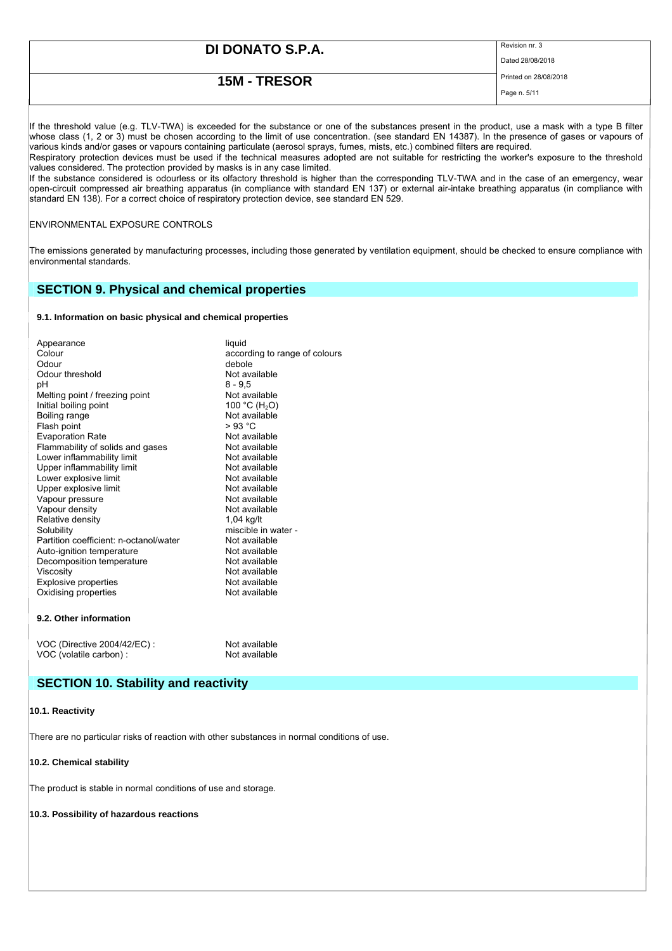Dated 28/08/2018

## **15M - TRESOR** Printed on 28/08/2018

Page n. 5/11

If the threshold value (e.g. TLV-TWA) is exceeded for the substance or one of the substances present in the product, use a mask with a type B filter whose class (1, 2 or 3) must be chosen according to the limit of use concentration. (see standard EN 14387). In the presence of gases or vapours of various kinds and/or gases or vapours containing particulate (aerosol sprays, fumes, mists, etc.) combined filters are required.

Respiratory protection devices must be used if the technical measures adopted are not suitable for restricting the worker's exposure to the threshold values considered. The protection provided by masks is in any case limited.

If the substance considered is odourless or its olfactory threshold is higher than the corresponding TLV-TWA and in the case of an emergency, wear open-circuit compressed air breathing apparatus (in compliance with standard EN 137) or external air-intake breathing apparatus (in compliance with standard EN 138). For a correct choice of respiratory protection device, see standard EN 529.

### ENVIRONMENTAL EXPOSURE CONTROLS

The emissions generated by manufacturing processes, including those generated by ventilation equipment, should be checked to ensure compliance with environmental standards.

### **SECTION 9. Physical and chemical properties**

### **9.1. Information on basic physical and chemical properties**

| Appearance                             | liquid                        |
|----------------------------------------|-------------------------------|
| Colour                                 | according to range of colours |
| Odour                                  | debole                        |
| Odour threshold                        | Not available                 |
| рH                                     | 8 - 9.5                       |
| Melting point / freezing point         | Not available                 |
| Initial boiling point                  | 100 °C (H <sub>2</sub> O)     |
| Boiling range                          | Not available                 |
| Flash point                            | > 93 °C                       |
| <b>Evaporation Rate</b>                | Not available                 |
| Flammability of solids and gases       | Not available                 |
| Lower inflammability limit             | Not available                 |
| Upper inflammability limit             | Not available                 |
| Lower explosive limit                  | Not available                 |
| Upper explosive limit                  | Not available                 |
| Vapour pressure                        | Not available                 |
| Vapour density                         | Not available                 |
| Relative density                       | 1,04 kg/lt                    |
| Solubility                             | miscible in water -           |
| Partition coefficient: n-octanol/water | Not available                 |
| Auto-ignition temperature              | Not available                 |
| Decomposition temperature              | Not available                 |
| Viscosity                              | Not available                 |
| <b>Explosive properties</b>            | Not available                 |
| Oxidising properties                   | Not available                 |
| 9.2. Other information                 |                               |
| VOC (Directive 2004/42/EC) :           | Not available                 |
| VOC (volatile carbon) :                | Not available                 |

### **SECTION 10. Stability and reactivity**

### **10.1. Reactivity**

There are no particular risks of reaction with other substances in normal conditions of use.

### **10.2. Chemical stability**

The product is stable in normal conditions of use and storage.

### **10.3. Possibility of hazardous reactions**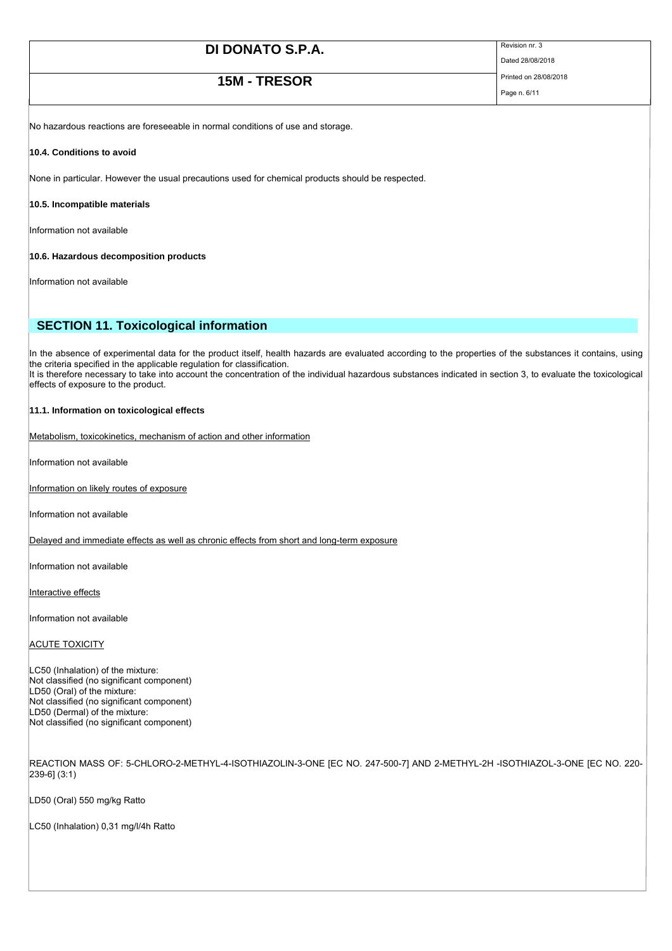## **15M - TRESOR** Printed on 28/08/2018

Dated 28/08/2018

Page n. 6/11

No hazardous reactions are foreseeable in normal conditions of use and storage.

### **10.4. Conditions to avoid**

None in particular. However the usual precautions used for chemical products should be respected.

### **10.5. Incompatible materials**

Information not available

### **10.6. Hazardous decomposition products**

Information not available

## **SECTION 11. Toxicological information**

In the absence of experimental data for the product itself, health hazards are evaluated according to the properties of the substances it contains, using the criteria specified in the applicable regulation for classification. It is therefore necessary to take into account the concentration of the individual hazardous substances indicated in section 3, to evaluate the toxicological effects of exposure to the product.

### **11.1. Information on toxicological effects**

Metabolism, toxicokinetics, mechanism of action and other information

Information not available

Information on likely routes of exposure

Information not available

Delayed and immediate effects as well as chronic effects from short and long-term exposure

Information not available

Interactive effects

Information not available

**ACUTE TOXICITY** 

LC50 (Inhalation) of the mixture: Not classified (no significant component) LD50 (Oral) of the mixture: Not classified (no significant component) LD50 (Dermal) of the mixture: Not classified (no significant component)

REACTION MASS OF: 5-CHLORO-2-METHYL-4-ISOTHIAZOLIN-3-ONE [EC NO. 247-500-7] AND 2-METHYL-2H -ISOTHIAZOL-3-ONE [EC NO. 220- 239-6] (3:1)

LD50 (Oral) 550 mg/kg Ratto

LC50 (Inhalation) 0,31 mg/l/4h Ratto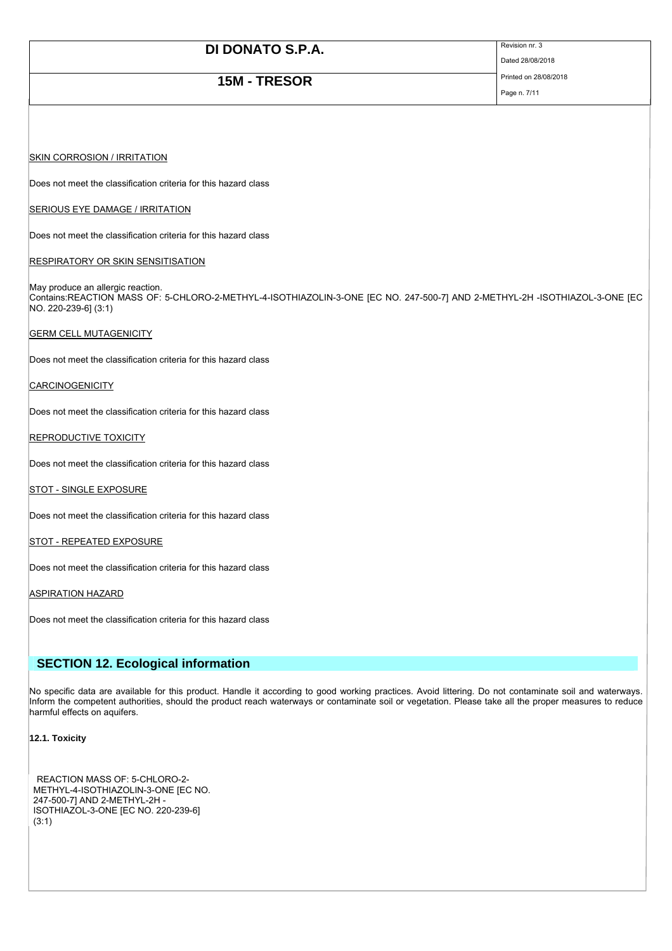## **15M - TRESOR** Printed on 28/08/2018

Dated 28/08/2018

Page n. 7/11

### **SKIN CORROSION / IRRITATION**

Does not meet the classification criteria for this hazard class

### SERIOUS EYE DAMAGE / IRRITATION

Does not meet the classification criteria for this hazard class

### **RESPIRATORY OR SKIN SENSITISATION**

May produce an allergic reaction. Contains:REACTION MASS OF: 5-CHLORO-2-METHYL-4-ISOTHIAZOLIN-3-ONE [EC NO. 247-500-7] AND 2-METHYL-2H -ISOTHIAZOL-3-ONE [EC NO. 220-239-6] (3:1)

### GERM CELL MUTAGENICITY

Does not meet the classification criteria for this hazard class

### **CARCINOGENICITY**

Does not meet the classification criteria for this hazard class

### REPRODUCTIVE TOXICITY

Does not meet the classification criteria for this hazard class

### STOT - SINGLE EXPOSURE

Does not meet the classification criteria for this hazard class

### **STOT - REPEATED EXPOSURE**

Does not meet the classification criteria for this hazard class

### ASPIRATION HAZARD

Does not meet the classification criteria for this hazard class

### **SECTION 12. Ecological information**

No specific data are available for this product. Handle it according to good working practices. Avoid littering. Do not contaminate soil and waterways. Inform the competent authorities, should the product reach waterways or contaminate soil or vegetation. Please take all the proper measures to reduce harmful effects on aquifers.

### **12.1. Toxicity**

REACTION MASS OF: 5-CHLORO-2- METHYL-4-ISOTHIAZOLIN-3-ONE [EC NO. 247-500-7] AND 2-METHYL-2H - ISOTHIAZOL-3-ONE [EC NO. 220-239-6] (3:1)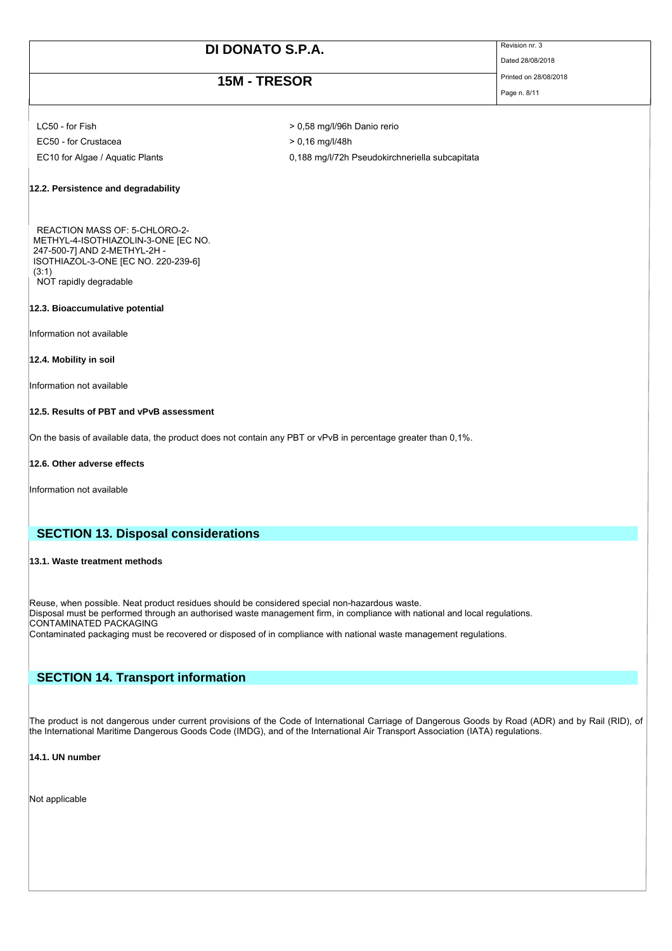## **15M - TRESOR** Printed on 28/08/2018

Dated 28/08/2018

Page n. 8/11

LC50 - for Fish  $\geq 0.58$  mg/l/96h Danio rerio  $EC50 - for Crustacea$   $> 0,16$  mg/l/48h

- 
- EC10 for Algae / Aquatic Plants 0,188 mg/l/72h Pseudokirchneriella subcapitata

### **12.2. Persistence and degradability**

REACTION MASS OF: 5-CHLORO-2- METHYL-4-ISOTHIAZOLIN-3-ONE [EC NO. 247-500-7] AND 2-METHYL-2H - ISOTHIAZOL-3-ONE [EC NO. 220-239-6] (3:1) NOT rapidly degradable

### **12.3. Bioaccumulative potential**

Information not available

#### **12.4. Mobility in soil**

Information not available

### **12.5. Results of PBT and vPvB assessment**

On the basis of available data, the product does not contain any PBT or vPvB in percentage greater than 0,1%.

### **12.6. Other adverse effects**

Information not available

### **SECTION 13. Disposal considerations**

### **13.1. Waste treatment methods**

Reuse, when possible. Neat product residues should be considered special non-hazardous waste. Disposal must be performed through an authorised waste management firm, in compliance with national and local regulations. CONTAMINATED PACKAGING

Contaminated packaging must be recovered or disposed of in compliance with national waste management regulations.

## **SECTION 14. Transport information**

The product is not dangerous under current provisions of the Code of International Carriage of Dangerous Goods by Road (ADR) and by Rail (RID), of the International Maritime Dangerous Goods Code (IMDG), and of the International Air Transport Association (IATA) regulations.

### **14.1. UN number**

Not applicable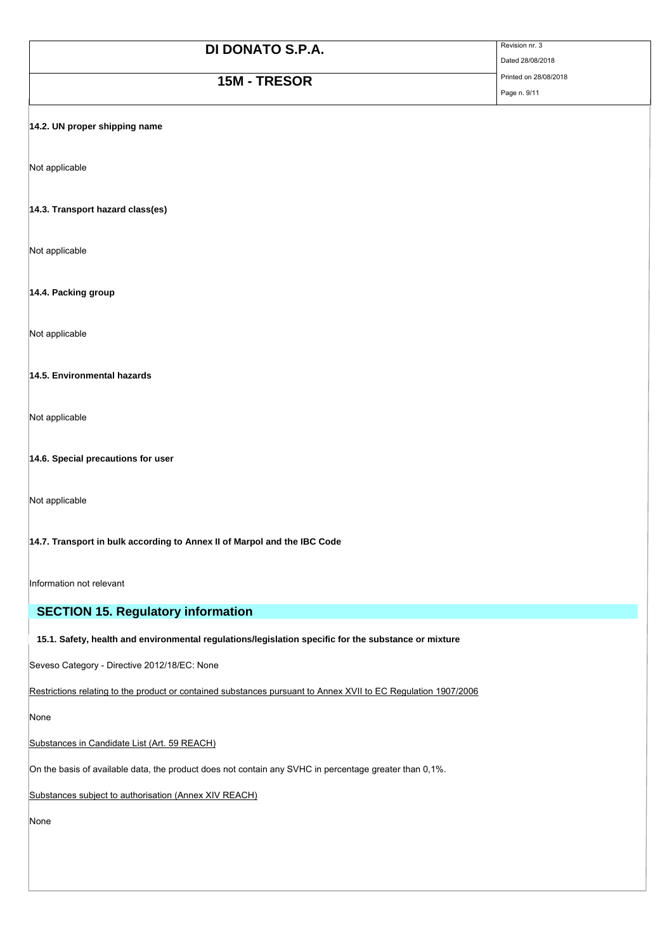**15M - TRESOR** Printed on 28/08/2018

Page n. 9/11

Dated 28/08/2018

### **14.2. UN proper shipping name**

Not applicable

### **14.3. Transport hazard class(es)**

Not applicable

### **14.4. Packing group**

Not applicable

### **14.5. Environmental hazards**

Not applicable

### **14.6. Special precautions for user**

Not applicable

### **14.7. Transport in bulk according to Annex II of Marpol and the IBC Code**

Information not relevant

### **SECTION 15. Regulatory information**

### **15.1. Safety, health and environmental regulations/legislation specific for the substance or mixture**

Seveso Category - Directive 2012/18/EC: None

Restrictions relating to the product or contained substances pursuant to Annex XVII to EC Regulation 1907/2006

None

### Substances in Candidate List (Art. 59 REACH)

On the basis of available data, the product does not contain any SVHC in percentage greater than 0,1%.

Substances subject to authorisation (Annex XIV REACH)

None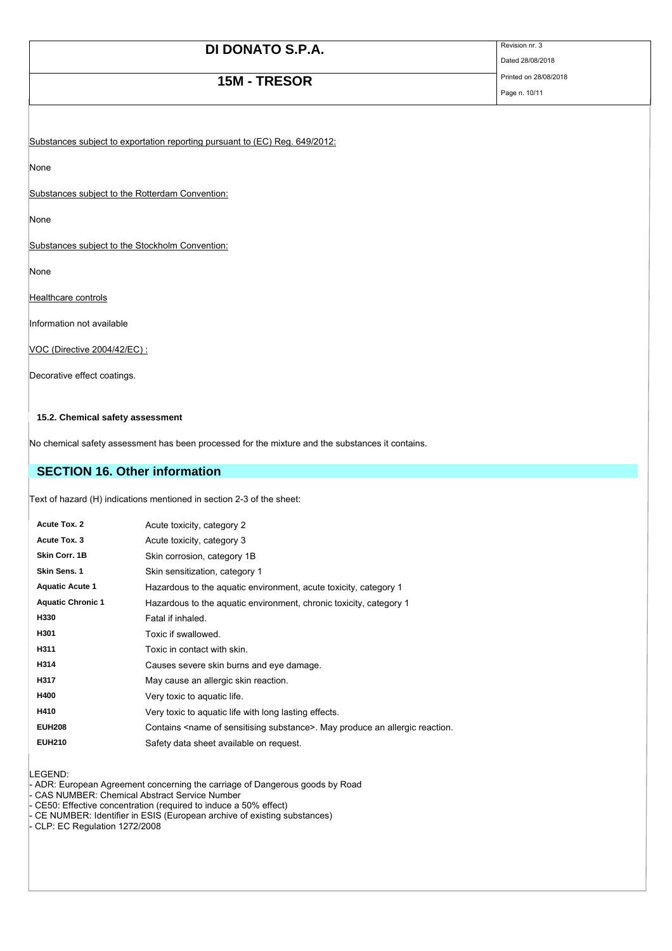# **15M - TRESOR** Printed on 28/08/2018<br>Page n. 10/11

Page n. 10/11

Dated 28/08/2018

Substances subject to exportation reporting pursuant to (EC) Reg. 649/2012:

None

Substances subject to the Rotterdam Convention:

None

Substances subject to the Stockholm Convention:

None

Healthcare controls

Information not available

VOC (Directive 2004/42/EC) :

Decorative effect coatings.

### **15.2. Chemical safety assessment**

No chemical safety assessment has been processed for the mixture and the substances it contains.

## **SECTION 16. Other information**

Text of hazard (H) indications mentioned in section 2-3 of the sheet:

| Acute Tox. 2             | Acute toxicity, category 2                                                                  |
|--------------------------|---------------------------------------------------------------------------------------------|
| Acute Tox, 3             | Acute toxicity, category 3                                                                  |
| Skin Corr. 1B            | Skin corrosion, category 1B                                                                 |
| <b>Skin Sens. 1</b>      | Skin sensitization, category 1                                                              |
| <b>Aquatic Acute 1</b>   | Hazardous to the aquatic environment, acute toxicity, category 1                            |
| <b>Aquatic Chronic 1</b> | Hazardous to the aguatic environment, chronic toxicity, category 1                          |
| H330                     | Fatal if inhaled.                                                                           |
| H301                     | Toxic if swallowed.                                                                         |
| H311                     | Toxic in contact with skin.                                                                 |
| H314                     | Causes severe skin burns and eye damage.                                                    |
| H317                     | May cause an allergic skin reaction.                                                        |
| H400                     | Very toxic to aquatic life.                                                                 |
| H410                     | Very toxic to aquatic life with long lasting effects.                                       |
| <b>EUH208</b>            | Contains <name of="" sensitising="" substance="">. May produce an allergic reaction.</name> |
| <b>EUH210</b>            | Safety data sheet available on request.                                                     |

LEGEND:

- ADR: European Agreement concerning the carriage of Dangerous goods by Road

- CAS NUMBER: Chemical Abstract Service Number

- CE50: Effective concentration (required to induce a 50% effect)

- CE NUMBER: Identifier in ESIS (European archive of existing substances)

- CLP: EC Regulation 1272/2008